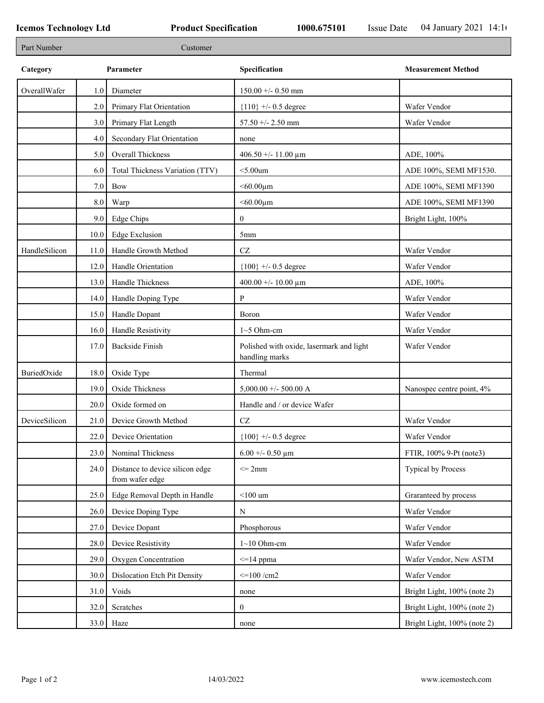| Part Number   |      | Customer                                           |                                                            |                             |
|---------------|------|----------------------------------------------------|------------------------------------------------------------|-----------------------------|
| Category      |      | Parameter                                          | Specification                                              | <b>Measurement Method</b>   |
| OverallWafer  | 1.0  | Diameter                                           | $150.00 +/- 0.50$ mm                                       |                             |
|               | 2.0  | Primary Flat Orientation                           | ${110}$ +/- 0.5 degree                                     | Wafer Vendor                |
|               | 3.0  | Primary Flat Length                                | $57.50 + - 2.50$ mm                                        | Wafer Vendor                |
|               | 4.0  | Secondary Flat Orientation                         | none                                                       |                             |
|               | 5.0  | <b>Overall Thickness</b>                           | 406.50 +/- 11.00 $\mu$ m                                   | ADE, 100%                   |
|               | 6.0  | Total Thickness Variation (TTV)                    | $<$ 5.00 $um$                                              | ADE 100%, SEMI MF1530.      |
|               | 7.0  | Bow                                                | $< 60.00 \mu m$                                            | ADE 100%, SEMI MF1390       |
|               | 8.0  | Warp                                               | $< 60.00 \mu m$                                            | ADE 100%, SEMI MF1390       |
|               | 9.0  | Edge Chips                                         | $\mathbf{0}$                                               | Bright Light, 100%          |
|               | 10.0 | <b>Edge Exclusion</b>                              | 5mm                                                        |                             |
| HandleSilicon | 11.0 | Handle Growth Method                               | $\operatorname{CZ}$                                        | Wafer Vendor                |
|               | 12.0 | Handle Orientation                                 | ${100}$ +/- 0.5 degree                                     | Wafer Vendor                |
|               | 13.0 | Handle Thickness                                   | 400.00 +/- 10.00 $\mu$ m                                   | ADE, 100%                   |
|               | 14.0 | Handle Doping Type                                 | P                                                          | Wafer Vendor                |
|               | 15.0 | Handle Dopant                                      | Boron                                                      | Wafer Vendor                |
|               | 16.0 | Handle Resistivity                                 | $1~5$ Ohm-cm                                               | Wafer Vendor                |
|               | 17.0 | <b>Backside Finish</b>                             | Polished with oxide, lasermark and light<br>handling marks | Wafer Vendor                |
| BuriedOxide   | 18.0 | Oxide Type                                         | Thermal                                                    |                             |
|               | 19.0 | Oxide Thickness                                    | $5,000.00 +/- 500.00 A$                                    | Nanospec centre point, 4%   |
|               | 20.0 | Oxide formed on                                    | Handle and / or device Wafer                               |                             |
| DeviceSilicon | 21.0 | Device Growth Method                               | $\operatorname{CZ}$                                        | Wafer Vendor                |
|               | 22.0 | Device Orientation                                 | ${100}$ +/- 0.5 degree                                     | Wafer Vendor                |
|               | 23.0 | Nominal Thickness                                  | $6.00 + 0.50 \mu m$                                        | FTIR, 100% 9-Pt (note3)     |
|               | 24.0 | Distance to device silicon edge<br>from wafer edge | $\leq$ 2mm                                                 | <b>Typical by Process</b>   |
|               | 25.0 | Edge Removal Depth in Handle                       | $<$ 100 $\,$ um                                            | Graranteed by process       |
|               | 26.0 | Device Doping Type                                 | ${\bf N}$                                                  | Wafer Vendor                |
|               | 27.0 | Device Dopant                                      | Phosphorous                                                | Wafer Vendor                |
|               | 28.0 | Device Resistivity                                 | $1~10$ Ohm-cm                                              | Wafer Vendor                |
|               | 29.0 | Oxygen Concentration                               | $\leq$ 14 ppma                                             | Wafer Vendor, New ASTM      |
|               | 30.0 | Dislocation Etch Pit Density                       | $\leq$ 100 /cm2                                            | Wafer Vendor                |
|               | 31.0 | Voids                                              |                                                            | Bright Light, 100% (note 2) |
|               |      | Scratches                                          | none<br>$\mathbf{0}$                                       | Bright Light, 100% (note 2) |
|               | 32.0 |                                                    |                                                            |                             |
|               | 33.0 | Haze                                               | none                                                       | Bright Light, 100% (note 2) |